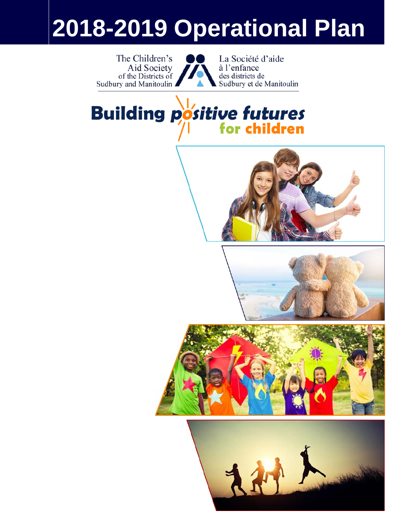# **2018-2019 Operational Plan**

The Children's Aid Society<br>of the Districts of<br>Sudbury and Manitoulin

La Société d'aide à l'enfance des districts de Sudbury et de Manitoulin

**Building positive futures** for children







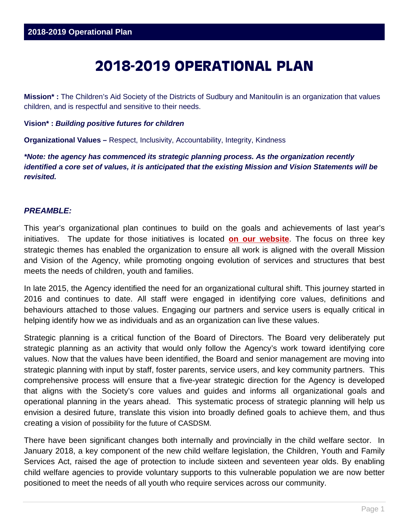# **2018-2019 OPERATIONAL PLAN**

**Mission\* :** The Children's Aid Society of the Districts of Sudbury and Manitoulin is an organization that values children, and is respectful and sensitive to their needs.

#### **Vision\* :** *Building positive futures for children*

**Organizational Values –** Respect, Inclusivity, Accountability, Integrity, Kindness

*\*Note: the agency has commenced its strategic planning process. As the organization recently identified a core set of values, it is anticipated that the existing Mission and Vision Statements will be revisited.* 

#### *PREAMBLE:*

This year's organizational plan continues to build on the goals and achievements of last year's initiatives. The update for those initiatives is located **[on our website](http://www.casdsm.on.ca/wp-content/uploads/2018/10/Organizational-Culture-and-Core-Values-EN.pdf)**. The focus on three key strategic themes has enabled the organization to ensure all work is aligned with the overall Mission and Vision of the Agency, while promoting ongoing evolution of services and structures that best meets the needs of children, youth and families.

In late 2015, the Agency identified the need for an organizational cultural shift. This journey started in 2016 and continues to date. All staff were engaged in identifying core values, definitions and behaviours attached to those values. Engaging our partners and service users is equally critical in helping identify how we as individuals and as an organization can live these values.

Strategic planning is a critical function of the Board of Directors. The Board very deliberately put strategic planning as an activity that would only follow the Agency's work toward identifying core values. Now that the values have been identified, the Board and senior management are moving into strategic planning with input by staff, foster parents, service users, and key community partners. This comprehensive process will ensure that a five-year strategic direction for the Agency is developed that aligns with the Society's core values and guides and informs all organizational goals and operational planning in the years ahead. This systematic process of strategic planning will help us envision a desired future, translate this vision into broadly defined goals to achieve them, and thus creating a vision of possibility for the future of CASDSM.

There have been significant changes both internally and provincially in the child welfare sector. In January 2018, a key component of the new child welfare legislation, the Children, Youth and Family Services Act, raised the age of protection to include sixteen and seventeen year olds. By enabling child welfare agencies to provide voluntary supports to this vulnerable population we are now better positioned to meet the needs of all youth who require services across our community.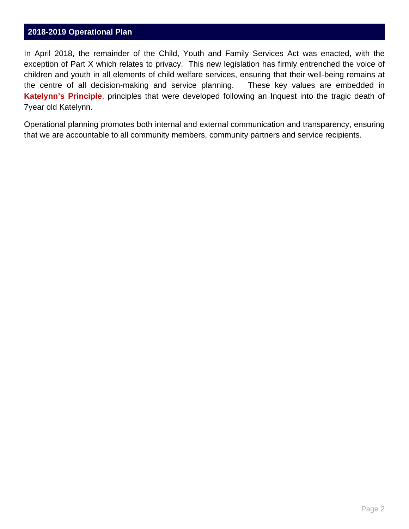#### **2018-2019 Operational Plan**

In April 2018, the remainder of the Child, Youth and Family Services Act was enacted, with the exception of Part X which relates to privacy. This new legislation has firmly entrenched the voice of children and youth in all elements of child welfare services, ensuring that their well-being remains at the centre of all decision-making and service planning. These key values are embedded in **[Katelynn's Principle](http://www.casdsm.on.ca/wp-content/uploads/2018/10/Katelynns-Principle-Poster-EN.pdf)**, principles that were developed following an Inquest into the tragic death of 7year old Katelynn.

Operational planning promotes both internal and external communication and transparency, ensuring that we are accountable to all community members, community partners and service recipients.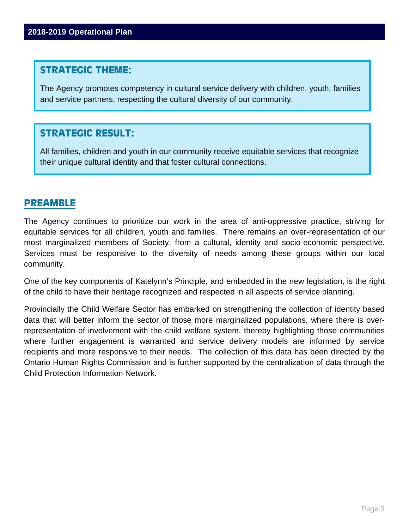#### **STRATEGIC THEME:**

The Agency promotes competency in cultural service delivery with children, youth, families and service partners, respecting the cultural diversity of our community.

## **STRATEGIC RESULT:**

All families, children and youth in our community receive equitable services that recognize their unique cultural identity and that foster cultural connections.

## **PREAMBLE**

The Agency continues to prioritize our work in the area of anti-oppressive practice, striving for equitable services for all children, youth and families. There remains an over-representation of our most marginalized members of Society, from a cultural, identity and socio-economic perspective. Services must be responsive to the diversity of needs among these groups within our local community.

One of the key components of Katelynn's Principle, and embedded in the new legislation, is the right of the child to have their heritage recognized and respected in all aspects of service planning.

Provincially the Child Welfare Sector has embarked on strengthening the collection of identity based data that will better inform the sector of those more marginalized populations, where there is overrepresentation of involvement with the child welfare system, thereby highlighting those communities where further engagement is warranted and service delivery models are informed by service recipients and more responsive to their needs. The collection of this data has been directed by the Ontario Human Rights Commission and is further supported by the centralization of data through the Child Protection Information Network.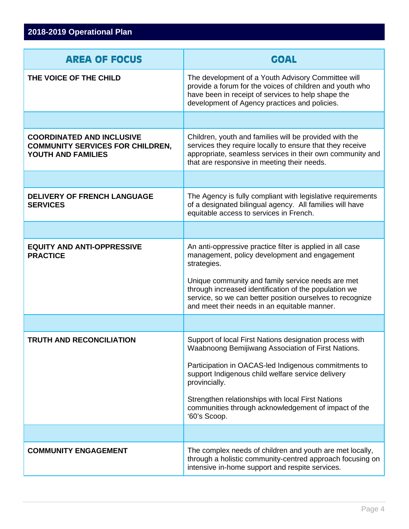| <b>AREA OF FOCUS</b>                                                                              | <b>GOAL</b>                                                                                                                                                                                                                     |
|---------------------------------------------------------------------------------------------------|---------------------------------------------------------------------------------------------------------------------------------------------------------------------------------------------------------------------------------|
| THE VOICE OF THE CHILD                                                                            | The development of a Youth Advisory Committee will<br>provide a forum for the voices of children and youth who<br>have been in receipt of services to help shape the<br>development of Agency practices and policies.           |
|                                                                                                   |                                                                                                                                                                                                                                 |
| <b>COORDINATED AND INCLUSIVE</b><br><b>COMMUNITY SERVICES FOR CHILDREN,</b><br>YOUTH AND FAMILIES | Children, youth and families will be provided with the<br>services they require locally to ensure that they receive<br>appropriate, seamless services in their own community and<br>that are responsive in meeting their needs. |
|                                                                                                   |                                                                                                                                                                                                                                 |
| <b>DELIVERY OF FRENCH LANGUAGE</b><br><b>SERVICES</b>                                             | The Agency is fully compliant with legislative requirements<br>of a designated bilingual agency. All families will have<br>equitable access to services in French.                                                              |
|                                                                                                   |                                                                                                                                                                                                                                 |
| <b>EQUITY AND ANTI-OPPRESSIVE</b><br><b>PRACTICE</b>                                              | An anti-oppressive practice filter is applied in all case<br>management, policy development and engagement<br>strategies.                                                                                                       |
|                                                                                                   | Unique community and family service needs are met<br>through increased identification of the population we<br>service, so we can better position ourselves to recognize<br>and meet their needs in an equitable manner.         |
|                                                                                                   |                                                                                                                                                                                                                                 |
| <b>TRUTH AND RECONCILIATION</b>                                                                   | Support of local First Nations designation process with<br>Waabnoong Bemijiwang Association of First Nations.                                                                                                                   |
|                                                                                                   | Participation in OACAS-led Indigenous commitments to<br>support Indigenous child welfare service delivery<br>provincially.                                                                                                      |
|                                                                                                   | Strengthen relationships with local First Nations<br>communities through acknowledgement of impact of the<br>'60's Scoop.                                                                                                       |
|                                                                                                   |                                                                                                                                                                                                                                 |
| <b>COMMUNITY ENGAGEMENT</b>                                                                       | The complex needs of children and youth are met locally,<br>through a holistic community-centred approach focusing on<br>intensive in-home support and respite services.                                                        |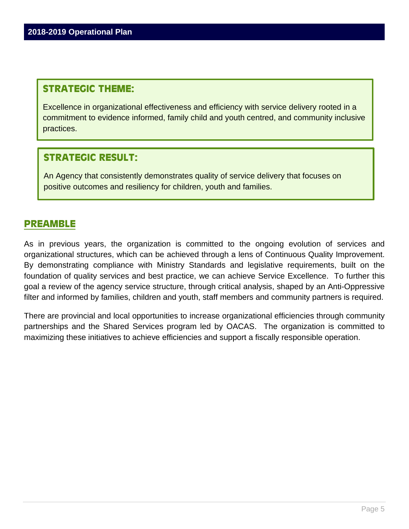#### **STRATEGIC THEME:**

Excellence in organizational effectiveness and efficiency with service delivery rooted in a commitment to evidence informed, family child and youth centred, and community inclusive practices.

#### **STRATEGIC RESULT:**

An Agency that consistently demonstrates quality of service delivery that focuses on positive outcomes and resiliency for children, youth and families.

#### **PREAMBLE**

As in previous years, the organization is committed to the ongoing evolution of services and organizational structures, which can be achieved through a lens of Continuous Quality Improvement. By demonstrating compliance with Ministry Standards and legislative requirements, built on the foundation of quality services and best practice, we can achieve Service Excellence. To further this goal a review of the agency service structure, through critical analysis, shaped by an Anti-Oppressive filter and informed by families, children and youth, staff members and community partners is required.

There are provincial and local opportunities to increase organizational efficiencies through community partnerships and the Shared Services program led by OACAS. The organization is committed to maximizing these initiatives to achieve efficiencies and support a fiscally responsible operation.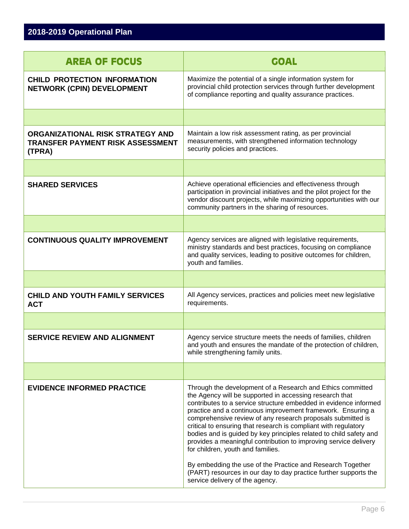| <b>AREA OF FOCUS</b>                                                                  | <b>GOAL</b>                                                                                                                                                                                                                                                                                                                                                                                                                                                                                                                                                                                                                                                                                                                                    |
|---------------------------------------------------------------------------------------|------------------------------------------------------------------------------------------------------------------------------------------------------------------------------------------------------------------------------------------------------------------------------------------------------------------------------------------------------------------------------------------------------------------------------------------------------------------------------------------------------------------------------------------------------------------------------------------------------------------------------------------------------------------------------------------------------------------------------------------------|
| <b>CHILD PROTECTION INFORMATION</b><br><b>NETWORK (CPIN) DEVELOPMENT</b>              | Maximize the potential of a single information system for<br>provincial child protection services through further development<br>of compliance reporting and quality assurance practices.                                                                                                                                                                                                                                                                                                                                                                                                                                                                                                                                                      |
|                                                                                       |                                                                                                                                                                                                                                                                                                                                                                                                                                                                                                                                                                                                                                                                                                                                                |
| ORGANIZATIONAL RISK STRATEGY AND<br><b>TRANSFER PAYMENT RISK ASSESSMENT</b><br>(TPRA) | Maintain a low risk assessment rating, as per provincial<br>measurements, with strengthened information technology<br>security policies and practices.                                                                                                                                                                                                                                                                                                                                                                                                                                                                                                                                                                                         |
|                                                                                       |                                                                                                                                                                                                                                                                                                                                                                                                                                                                                                                                                                                                                                                                                                                                                |
| <b>SHARED SERVICES</b>                                                                | Achieve operational efficiencies and effectiveness through<br>participation in provincial initiatives and the pilot project for the<br>vendor discount projects, while maximizing opportunities with our<br>community partners in the sharing of resources.                                                                                                                                                                                                                                                                                                                                                                                                                                                                                    |
|                                                                                       |                                                                                                                                                                                                                                                                                                                                                                                                                                                                                                                                                                                                                                                                                                                                                |
| <b>CONTINUOUS QUALITY IMPROVEMENT</b>                                                 | Agency services are aligned with legislative requirements,<br>ministry standards and best practices, focusing on compliance<br>and quality services, leading to positive outcomes for children,<br>youth and families.                                                                                                                                                                                                                                                                                                                                                                                                                                                                                                                         |
|                                                                                       |                                                                                                                                                                                                                                                                                                                                                                                                                                                                                                                                                                                                                                                                                                                                                |
| <b>CHILD AND YOUTH FAMILY SERVICES</b><br><b>ACT</b>                                  | All Agency services, practices and policies meet new legislative<br>requirements.                                                                                                                                                                                                                                                                                                                                                                                                                                                                                                                                                                                                                                                              |
|                                                                                       |                                                                                                                                                                                                                                                                                                                                                                                                                                                                                                                                                                                                                                                                                                                                                |
| <b>SERVICE REVIEW AND ALIGNMENT</b>                                                   | Agency service structure meets the needs of families, children<br>and youth and ensures the mandate of the protection of children,<br>while strengthening family units.                                                                                                                                                                                                                                                                                                                                                                                                                                                                                                                                                                        |
|                                                                                       |                                                                                                                                                                                                                                                                                                                                                                                                                                                                                                                                                                                                                                                                                                                                                |
| <b>EVIDENCE INFORMED PRACTICE</b>                                                     | Through the development of a Research and Ethics committed<br>the Agency will be supported in accessing research that<br>contributes to a service structure embedded in evidence informed<br>practice and a continuous improvement framework. Ensuring a<br>comprehensive review of any research proposals submitted is<br>critical to ensuring that research is compliant with regulatory<br>bodies and is guided by key principles related to child safety and<br>provides a meaningful contribution to improving service delivery<br>for children, youth and families.<br>By embedding the use of the Practice and Research Together<br>(PART) resources in our day to day practice further supports the<br>service delivery of the agency. |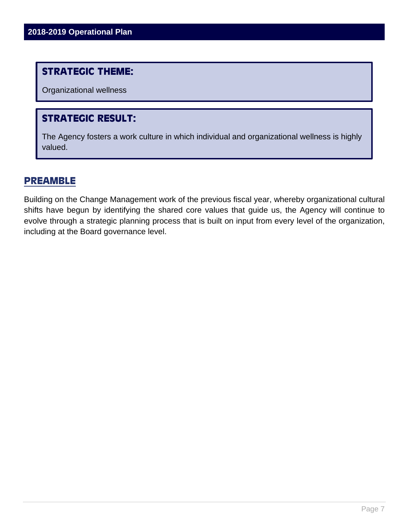#### **STRATEGIC THEME:**

Organizational wellness

#### **STRATEGIC RESULT:**

The Agency fosters a work culture in which individual and organizational wellness is highly valued.

#### **PREAMBLE**

Building on the Change Management work of the previous fiscal year, whereby organizational cultural shifts have begun by identifying the shared core values that guide us, the Agency will continue to evolve through a strategic planning process that is built on input from every level of the organization, including at the Board governance level.